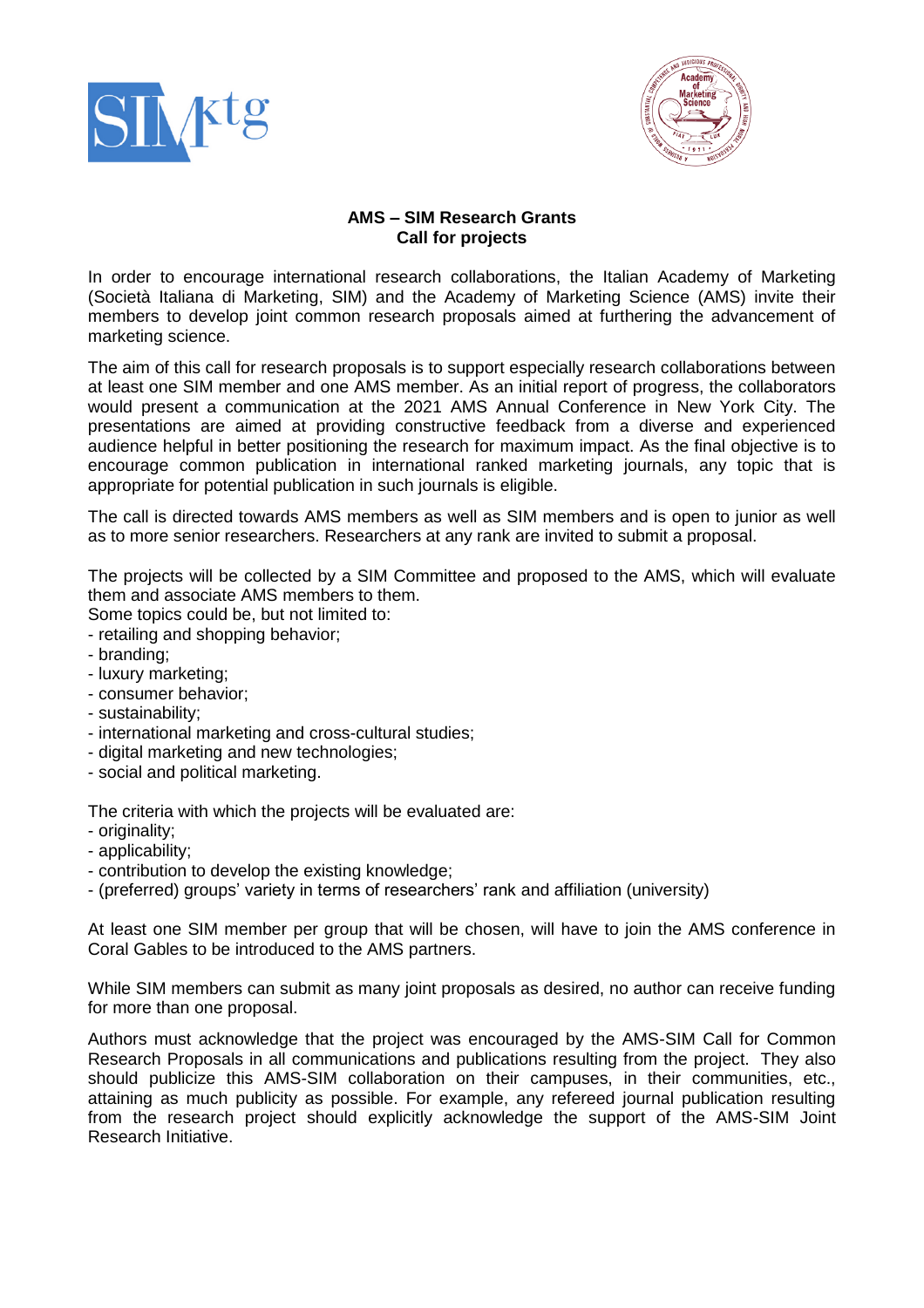



## **AMS – SIM Research Grants Call for projects**

In order to encourage international research collaborations, the Italian Academy of Marketing (Società Italiana di Marketing, SIM) and the Academy of Marketing Science (AMS) invite their members to develop joint common research proposals aimed at furthering the advancement of marketing science.

The aim of this call for research proposals is to support especially research collaborations between at least one SIM member and one AMS member. As an initial report of progress, the collaborators would present a communication at the 2021 AMS Annual Conference in New York City. The presentations are aimed at providing constructive feedback from a diverse and experienced audience helpful in better positioning the research for maximum impact. As the final objective is to encourage common publication in international ranked marketing journals, any topic that is appropriate for potential publication in such journals is eligible.

The call is directed towards AMS members as well as SIM members and is open to junior as well as to more senior researchers. Researchers at any rank are invited to submit a proposal.

The projects will be collected by a SIM Committee and proposed to the AMS, which will evaluate them and associate AMS members to them.

Some topics could be, but not limited to:

- retailing and shopping behavior;
- branding;
- luxury marketing;
- consumer behavior;
- sustainability;
- international marketing and cross-cultural studies;
- digital marketing and new technologies;
- social and political marketing.

The criteria with which the projects will be evaluated are:

- originality;
- applicability;
- contribution to develop the existing knowledge;
- (preferred) groups' variety in terms of researchers' rank and affiliation (university)

At least one SIM member per group that will be chosen, will have to join the AMS conference in Coral Gables to be introduced to the AMS partners.

While SIM members can submit as many joint proposals as desired, no author can receive funding for more than one proposal.

Authors must acknowledge that the project was encouraged by the AMS-SIM Call for Common Research Proposals in all communications and publications resulting from the project. They also should publicize this AMS-SIM collaboration on their campuses, in their communities, etc., attaining as much publicity as possible. For example, any refereed journal publication resulting from the research project should explicitly acknowledge the support of the AMS-SIM Joint Research Initiative.